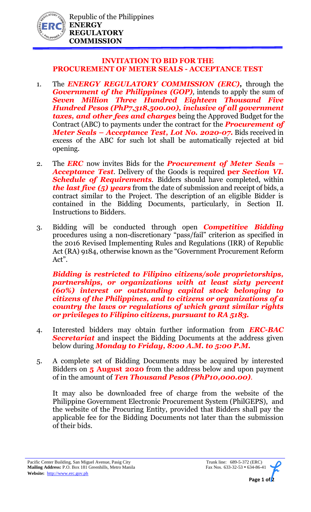

## **INVITATION TO BID FOR THE PROCUREMENT OF METER SEALS - ACCEPTANCE TEST**

- 1. The *ENERGY REGULATORY COMMISSION (ERC),* through the *Government of the Philippines (GOP)*, intends to apply the sum of *Seven Million Three Hundred Eighteen Thousand Five Hundred Pesos (PhP7,318,500.00), inclusive of all government taxes, and other fees and charges* being the Approved Budget for the Contract (ABC) to payments under the contract for the *Procurement of Meter Seals – Acceptance Test, Lot No. 2020-07.* Bids received in excess of the ABC for such lot shall be automatically rejected at bid opening.
- 2. The *ERC* now invites Bids for the *Procurement of Meter Seals – Acceptance Test*. Delivery of the Goods is required **per** *Section VI. Schedule of Requirements.* Bidders should have completed, within *the last five (5) years* from the date of submission and receipt of bids, a contract similar to the Project. The description of an eligible Bidder is contained in the Bidding Documents, particularly, in Section II. Instructions to Bidders.
- 3. Bidding will be conducted through open *Competitive Bidding* procedures using a non-discretionary "pass/fail" criterion as specified in the 2016 Revised Implementing Rules and Regulations (IRR) of Republic Act (RA) 9184, otherwise known as the "Government Procurement Reform Act".

*Bidding is restricted to Filipino citizens/sole proprietorships, partnerships, or organizations with at least sixty percent (60%) interest or outstanding capital stock belonging to citizens of the Philippines, and to citizens or organizations of a country the laws or regulations of which grant similar rights or privileges to Filipino citizens, pursuant to RA 5183.* 

- 4. Interested bidders may obtain further information from *ERC-BAC Secretariat* and inspect the Bidding Documents at the address given below during *Monday to Friday, 8:00 A.M. to 5:00 P.M.*
- 5. A complete set of Bidding Documents may be acquired by interested Bidders on **5 August 2020** from the address below and upon payment of in the amount of *Ten Thousand Pesos (PhP10,000.00).*

It may also be downloaded free of charge from the website of the Philippine Government Electronic Procurement System (PhilGEPS), and the website of the Procuring Entity, provided that Bidders shall pay the applicable fee for the Bidding Documents not later than the submission of their bids.